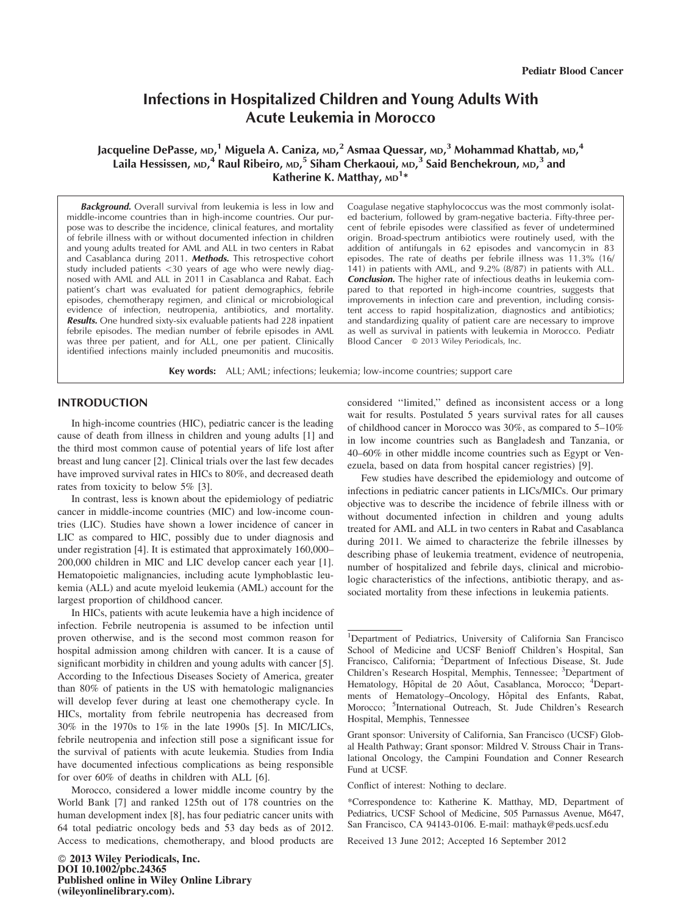# Infections in Hospitalized Children and Young Adults With Acute Leukemia in Morocco

Jacqueline DePasse, мв, $^1$  Miguela A. Caniza, мв, $^2$  Asmaa Quessar, мв, $^3$  Mohammad Khattab, мв, $^4$ Laila Hessissen, MD,<sup>4</sup> Raul Ribeiro, MD,<sup>5</sup> Siham Cherkaoui, MD,<sup>3</sup> Said Benchekroun, MD,<sup>3</sup> and Katherine K. Matthay, MD<sup>1\*</sup>

**Background.** Overall survival from leukemia is less in low and middle-income countries than in high-income countries. Our purpose was to describe the incidence, clinical features, and mortality of febrile illness with or without documented infection in children and young adults treated for AML and ALL in two centers in Rabat and Casablanca during 2011. Methods. This retrospective cohort study included patients <30 years of age who were newly diagnosed with AML and ALL in 2011 in Casablanca and Rabat. Each patient's chart was evaluated for patient demographics, febrile episodes, chemotherapy regimen, and clinical or microbiological evidence of infection, neutropenia, antibiotics, and mortality. Results. One hundred sixty-six evaluable patients had 228 inpatient febrile episodes. The median number of febrile episodes in AML was three per patient, and for ALL, one per patient. Clinically identified infections mainly included pneumonitis and mucositis.

Coagulase negative staphylococcus was the most commonly isolated bacterium, followed by gram-negative bacteria. Fifty-three percent of febrile episodes were classified as fever of undetermined origin. Broad-spectrum antibiotics were routinely used, with the addition of antifungals in 62 episodes and vancomycin in 83 episodes. The rate of deaths per febrile illness was 11.3% (16/ 141) in patients with AML, and 9.2% (8/87) in patients with ALL. Conclusion. The higher rate of infectious deaths in leukemia compared to that reported in high-income countries, suggests that improvements in infection care and prevention, including consistent access to rapid hospitalization, diagnostics and antibiotics; and standardizing quality of patient care are necessary to improve as well as survival in patients with leukemia in Morocco. Pediatr Blood Cancer 2013 Wiley Periodicals, Inc.

Key words: ALL; AML; infections; leukemia; low-income countries; support care

#### INTRODUCTION

In high-income countries (HIC), pediatric cancer is the leading cause of death from illness in children and young adults [1] and the third most common cause of potential years of life lost after breast and lung cancer [2]. Clinical trials over the last few decades have improved survival rates in HICs to 80%, and decreased death rates from toxicity to below 5% [3].

In contrast, less is known about the epidemiology of pediatric cancer in middle-income countries (MIC) and low-income countries (LIC). Studies have shown a lower incidence of cancer in LIC as compared to HIC, possibly due to under diagnosis and under registration [4]. It is estimated that approximately 160,000– 200,000 children in MIC and LIC develop cancer each year [1]. Hematopoietic malignancies, including acute lymphoblastic leukemia (ALL) and acute myeloid leukemia (AML) account for the largest proportion of childhood cancer.

In HICs, patients with acute leukemia have a high incidence of infection. Febrile neutropenia is assumed to be infection until proven otherwise, and is the second most common reason for hospital admission among children with cancer. It is a cause of significant morbidity in children and young adults with cancer [5]. According to the Infectious Diseases Society of America, greater than 80% of patients in the US with hematologic malignancies will develop fever during at least one chemotherapy cycle. In HICs, mortality from febrile neutropenia has decreased from 30% in the 1970s to 1% in the late 1990s [5]. In MIC/LICs, febrile neutropenia and infection still pose a significant issue for the survival of patients with acute leukemia. Studies from India have documented infectious complications as being responsible for over 60% of deaths in children with ALL [6].

Morocco, considered a lower middle income country by the World Bank [7] and ranked 125th out of 178 countries on the human development index [8], has four pediatric cancer units with 64 total pediatric oncology beds and 53 day beds as of 2012. Access to medications, chemotherapy, and blood products are

 2013 Wiley Periodicals, Inc. DOI 10.1002/pbc.24365 Published online in Wiley Online Library (wileyonlinelibrary.com).

considered ''limited,'' defined as inconsistent access or a long wait for results. Postulated 5 years survival rates for all causes of childhood cancer in Morocco was 30%, as compared to 5–10% in low income countries such as Bangladesh and Tanzania, or 40–60% in other middle income countries such as Egypt or Venezuela, based on data from hospital cancer registries) [9].

Few studies have described the epidemiology and outcome of infections in pediatric cancer patients in LICs/MICs. Our primary objective was to describe the incidence of febrile illness with or without documented infection in children and young adults treated for AML and ALL in two centers in Rabat and Casablanca during 2011. We aimed to characterize the febrile illnesses by describing phase of leukemia treatment, evidence of neutropenia, number of hospitalized and febrile days, clinical and microbiologic characteristics of the infections, antibiotic therapy, and associated mortality from these infections in leukemia patients.

Conflict of interest: Nothing to declare.

\*Correspondence to: Katherine K. Matthay, MD, Department of Pediatrics, UCSF School of Medicine, 505 Parnassus Avenue, M647, San Francisco, CA 94143-0106. E-mail: mathayk@peds.ucsf.edu

Received 13 June 2012; Accepted 16 September 2012

<sup>&</sup>lt;sup>1</sup>Department of Pediatrics, University of California San Francisco School of Medicine and UCSF Benioff Children's Hospital, San Francisco, California; <sup>2</sup>Department of Infectious Disease, St. Jude Children's Research Hospital, Memphis, Tennessee; <sup>3</sup>Department of Hematology, Hôpital de 20 Aôut, Casablanca, Morocco; <sup>4</sup>Departments of Hematology-Oncology, Hôpital des Enfants, Rabat, Morocco; <sup>5</sup>International Outreach, St. Jude Children's Research Hospital, Memphis, Tennessee

Grant sponsor: University of California, San Francisco (UCSF) Global Health Pathway; Grant sponsor: Mildred V. Strouss Chair in Translational Oncology, the Campini Foundation and Conner Research Fund at UCSF.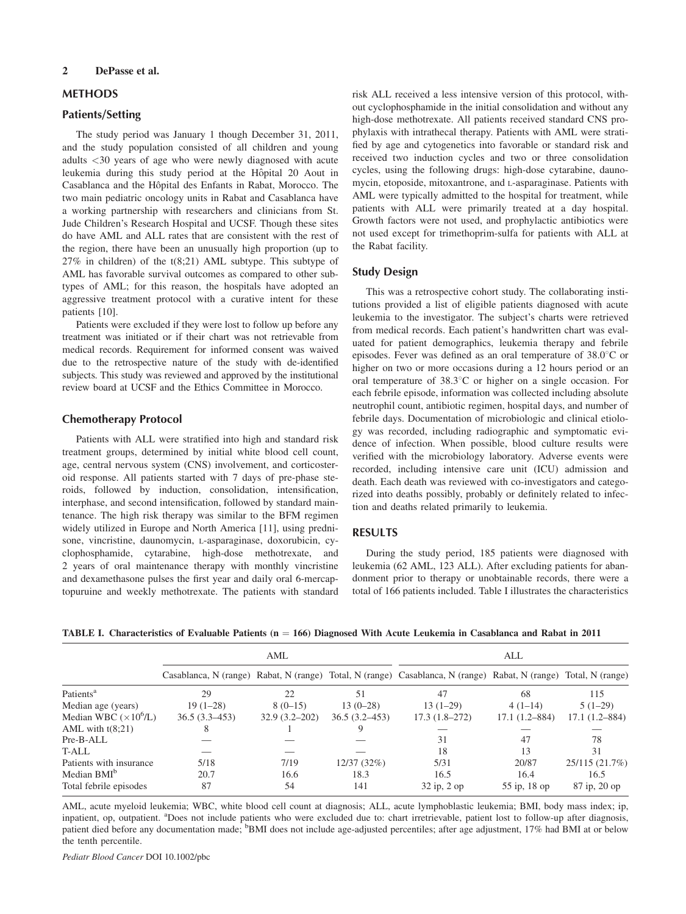## 2 DePasse et al.

## **METHODS**

# Patients/Setting

The study period was January 1 though December 31, 2011, and the study population consisted of all children and young adults <30 years of age who were newly diagnosed with acute leukemia during this study period at the Hôpital 20 Aout in Casablanca and the Hôpital des Enfants in Rabat, Morocco. The two main pediatric oncology units in Rabat and Casablanca have a working partnership with researchers and clinicians from St. Jude Children's Research Hospital and UCSF. Though these sites do have AML and ALL rates that are consistent with the rest of the region, there have been an unusually high proportion (up to 27% in children) of the t(8;21) AML subtype. This subtype of AML has favorable survival outcomes as compared to other subtypes of AML; for this reason, the hospitals have adopted an aggressive treatment protocol with a curative intent for these patients [10].

Patients were excluded if they were lost to follow up before any treatment was initiated or if their chart was not retrievable from medical records. Requirement for informed consent was waived due to the retrospective nature of the study with de-identified subjects. This study was reviewed and approved by the institutional review board at UCSF and the Ethics Committee in Morocco.

## Chemotherapy Protocol

Patients with ALL were stratified into high and standard risk treatment groups, determined by initial white blood cell count, age, central nervous system (CNS) involvement, and corticosteroid response. All patients started with 7 days of pre-phase steroids, followed by induction, consolidation, intensification, interphase, and second intensification, followed by standard maintenance. The high risk therapy was similar to the BFM regimen widely utilized in Europe and North America [11], using prednisone, vincristine, daunomycin, L-asparaginase, doxorubicin, cyclophosphamide, cytarabine, high-dose methotrexate, and 2 years of oral maintenance therapy with monthly vincristine and dexamethasone pulses the first year and daily oral 6-mercaptopuruine and weekly methotrexate. The patients with standard risk ALL received a less intensive version of this protocol, without cyclophosphamide in the initial consolidation and without any high-dose methotrexate. All patients received standard CNS prophylaxis with intrathecal therapy. Patients with AML were stratified by age and cytogenetics into favorable or standard risk and received two induction cycles and two or three consolidation cycles, using the following drugs: high-dose cytarabine, daunomycin, etoposide, mitoxantrone, and L-asparaginase. Patients with AML were typically admitted to the hospital for treatment, while patients with ALL were primarily treated at a day hospital. Growth factors were not used, and prophylactic antibiotics were not used except for trimethoprim-sulfa for patients with ALL at the Rabat facility.

## Study Design

This was a retrospective cohort study. The collaborating institutions provided a list of eligible patients diagnosed with acute leukemia to the investigator. The subject's charts were retrieved from medical records. Each patient's handwritten chart was evaluated for patient demographics, leukemia therapy and febrile episodes. Fever was defined as an oral temperature of  $38.0^{\circ}$ C or higher on two or more occasions during a 12 hours period or an oral temperature of  $38.3^{\circ}$ C or higher on a single occasion. For each febrile episode, information was collected including absolute neutrophil count, antibiotic regimen, hospital days, and number of febrile days. Documentation of microbiologic and clinical etiology was recorded, including radiographic and symptomatic evidence of infection. When possible, blood culture results were verified with the microbiology laboratory. Adverse events were recorded, including intensive care unit (ICU) admission and death. Each death was reviewed with co-investigators and categorized into deaths possibly, probably or definitely related to infection and deaths related primarily to leukemia.

## RESULTS

During the study period, 185 patients were diagnosed with leukemia (62 AML, 123 ALL). After excluding patients for abandonment prior to therapy or unobtainable records, there were a total of 166 patients included. Table I illustrates the characteristics

TABLE I. Characteristics of Evaluable Patients  $(n = 166)$  Diagnosed With Acute Leukemia in Casablanca and Rabat in 2011

|                               | AML             |                   |                   | ALL                                                                                                             |                   |                   |  |
|-------------------------------|-----------------|-------------------|-------------------|-----------------------------------------------------------------------------------------------------------------|-------------------|-------------------|--|
|                               |                 |                   |                   | Casablanca, N (range) Rabat, N (range) Total, N (range) Casablanca, N (range) Rabat, N (range) Total, N (range) |                   |                   |  |
| Patients <sup>a</sup>         | 29              | 22                | 51                | 47                                                                                                              | 68                | 115               |  |
| Median age (years)            | $19(1-28)$      | $8(0-15)$         | $13(0-28)$        | $13(1-29)$                                                                                                      | $4(1-14)$         | $5(1-29)$         |  |
| Median WBC $(\times 10^6$ /L) | $36.5(3.3-453)$ | $32.9(3.2 - 202)$ | $36.5(3.2 - 453)$ | $17.3(1.8-272)$                                                                                                 | $17.1(1.2 - 884)$ | $17.1(1.2 - 884)$ |  |
| AML with $t(8;21)$            | 8               |                   |                   |                                                                                                                 |                   |                   |  |
| Pre-B-ALL                     |                 |                   |                   | 31                                                                                                              | 47                | 78                |  |
| T-ALL                         |                 |                   |                   | 18                                                                                                              | 13                | 31                |  |
| Patients with insurance       | 5/18            | 7/19              | 12/37 (32%)       | 5/31                                                                                                            | 20/87             | 25/115 (21.7%)    |  |
| Median BMI <sup>b</sup>       | 20.7            | 16.6              | 18.3              | 16.5                                                                                                            | 16.4              | 16.5              |  |
| Total febrile episodes        | 87              | 54                | 141               | $32$ ip, $2$ op                                                                                                 | 55 ip, 18 op      | 87 ip, 20 op      |  |

AML, acute myeloid leukemia; WBC, white blood cell count at diagnosis; ALL, acute lymphoblastic leukemia; BMI, body mass index; ip, inpatient, op, outpatient. <sup>a</sup>Does not include patients who were excluded due to: chart irretrievable, patient lost to follow-up after diagnosis, patient died before any documentation made; <sup>b</sup>BMI does not include age-adjusted percentiles; after age adjustment, 17% had BMI at or below the tenth percentile.

Pediatr Blood Cancer DOI 10.1002/pbc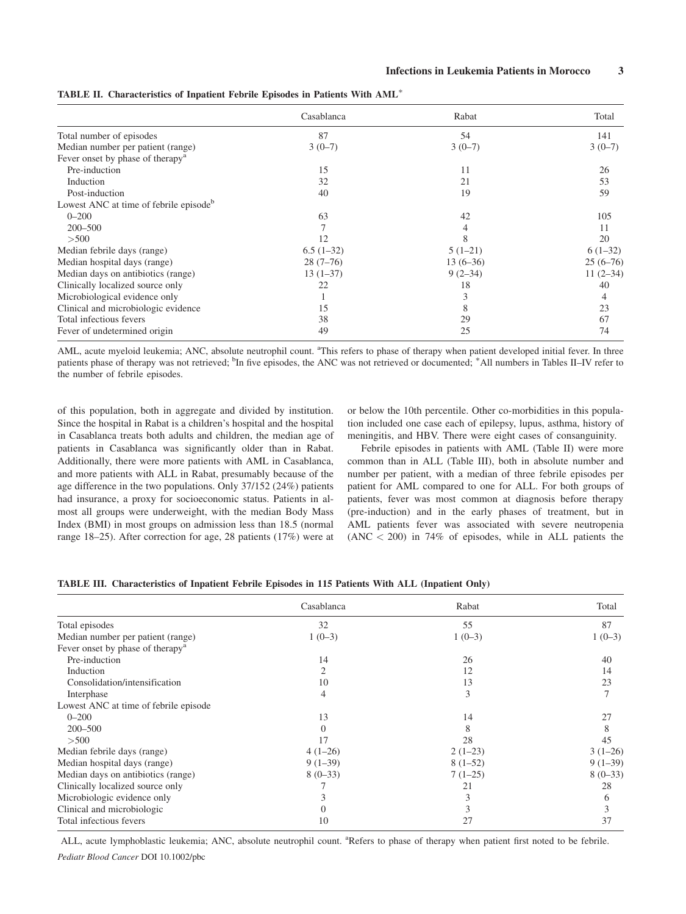|                                                    | Casablanca  | Rabat      | Total      |
|----------------------------------------------------|-------------|------------|------------|
| Total number of episodes                           | 87          | 54         | 141        |
| Median number per patient (range)                  | $3(0-7)$    | $3(0-7)$   | $3(0-7)$   |
| Fever onset by phase of therapy <sup>a</sup>       |             |            |            |
| Pre-induction                                      | 15          | 11         | 26         |
| Induction                                          | 32          | 21         | 53         |
| Post-induction                                     | 40          | 19         | 59         |
| Lowest ANC at time of febrile episode <sup>b</sup> |             |            |            |
| $0 - 200$                                          | 63          | 42         | 105        |
| $200 - 500$                                        |             |            | 11         |
| >500                                               | 12          | 8          | 20         |
| Median febrile days (range)                        | $6.5(1-32)$ | $5(1-21)$  | $6(1-32)$  |
| Median hospital days (range)                       | $28(7-76)$  | $13(6-36)$ | $25(6-76)$ |
| Median days on antibiotics (range)                 | $13(1-37)$  | $9(2-34)$  | $11(2-34)$ |
| Clinically localized source only                   | 22          | 18         | 40         |
| Microbiological evidence only                      |             | 3          | 4          |
| Clinical and microbiologic evidence                | 15          | 8          | 23         |
| Total infectious fevers                            | 38          | 29         | 67         |
| Fever of undetermined origin                       | 49          | 25         | 74         |

TABLE II. Characteristics of Inpatient Febrile Episodes in Patients With AML<sup>\*</sup>

AML, acute myeloid leukemia; ANC, absolute neutrophil count. <sup>a</sup>This refers to phase of therapy when patient developed initial fever. In three patients phase of therapy was not retrieved; <sup>b</sup>In five episodes, the ANC was not retrieved or documented; \*All numbers in Tables II–IV refer to the number of febrile episodes.

of this population, both in aggregate and divided by institution. Since the hospital in Rabat is a children's hospital and the hospital in Casablanca treats both adults and children, the median age of patients in Casablanca was significantly older than in Rabat. Additionally, there were more patients with AML in Casablanca, and more patients with ALL in Rabat, presumably because of the age difference in the two populations. Only 37/152 (24%) patients had insurance, a proxy for socioeconomic status. Patients in almost all groups were underweight, with the median Body Mass Index (BMI) in most groups on admission less than 18.5 (normal range 18–25). After correction for age, 28 patients (17%) were at or below the 10th percentile. Other co-morbidities in this population included one case each of epilepsy, lupus, asthma, history of meningitis, and HBV. There were eight cases of consanguinity.

Febrile episodes in patients with AML (Table II) were more common than in ALL (Table III), both in absolute number and number per patient, with a median of three febrile episodes per patient for AML compared to one for ALL. For both groups of patients, fever was most common at diagnosis before therapy (pre-induction) and in the early phases of treatment, but in AML patients fever was associated with severe neutropenia  $(ANC < 200)$  in 74% of episodes, while in ALL patients the

| TABLE III. Characteristics of Inpatient Febrile Episodes in 115 Patients With ALL (Inpatient Only) |  |  |  |  |  |  |
|----------------------------------------------------------------------------------------------------|--|--|--|--|--|--|
|----------------------------------------------------------------------------------------------------|--|--|--|--|--|--|

|                                              | Casablanca | Rabat     | Total     |
|----------------------------------------------|------------|-----------|-----------|
| Total episodes                               | 32         | 55        | 87        |
| Median number per patient (range)            | $1(0-3)$   | $1(0-3)$  | $1(0-3)$  |
| Fever onset by phase of therapy <sup>a</sup> |            |           |           |
| Pre-induction                                | 14         | 26        | 40        |
| Induction                                    | 2          | 12        | 14        |
| Consolidation/intensification                | 10         | 13        | 23        |
| Interphase                                   | 4          | 3         | 7         |
| Lowest ANC at time of febrile episode        |            |           |           |
| $0 - 200$                                    | 13         | 14        | 27        |
| $200 - 500$                                  | $\Omega$   | 8         | 8         |
| >500                                         | 17         | 28        | 45        |
| Median febrile days (range)                  | $4(1-26)$  | $2(1-23)$ | $3(1-26)$ |
| Median hospital days (range)                 | $9(1-39)$  | $8(1-52)$ | $9(1-39)$ |
| Median days on antibiotics (range)           | $8(0-33)$  | $7(1-25)$ | $8(0-33)$ |
| Clinically localized source only             |            | 21        | 28        |
| Microbiologic evidence only                  |            | 3         | 6         |
| Clinical and microbiologic                   |            | 3         | 3         |
| Total infectious fevers                      | 10         | 27        | 37        |

ALL, acute lymphoblastic leukemia; ANC, absolute neutrophil count. <sup>a</sup>Refers to phase of therapy when patient first noted to be febrile.

Pediatr Blood Cancer DOI 10.1002/pbc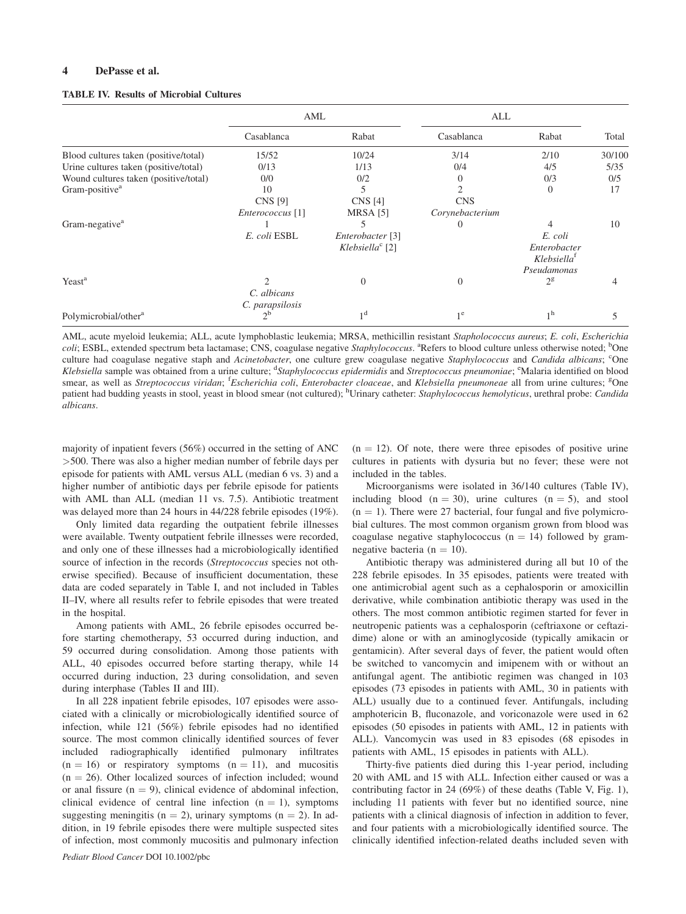#### DePasse et al.

#### TABLE IV. Results of Microbial Cultures

|                                       | AML                         |                          | ALL             |                                         |        |
|---------------------------------------|-----------------------------|--------------------------|-----------------|-----------------------------------------|--------|
|                                       | Casablanca                  | Rabat                    | Casablanca      | Rabat                                   | Total  |
| Blood cultures taken (positive/total) | 15/52                       | 10/24                    | 3/14            | 2/10                                    | 30/100 |
| Urine cultures taken (positive/total) | 0/13                        | 1/13                     | 0/4             | 4/5                                     | 5/35   |
| Wound cultures taken (positive/total) | 0/0                         | 0/2                      |                 | 0/3                                     | 0/5    |
| Gram-positive <sup>a</sup>            | 10                          | 5                        | $\mathfrak{D}$  | $\Omega$                                | 17     |
|                                       | <b>CNS</b> [9]              | <b>CNS</b> [4]           | <b>CNS</b>      |                                         |        |
|                                       | Enterococcus <sup>[1]</sup> | MRSA [5]                 | Corynebacterium |                                         |        |
| Gram-negative <sup>a</sup>            |                             |                          | $\Omega$        | $\overline{4}$                          | 10     |
|                                       | E. coli ESBL                | Enterobacter [3]         |                 | E. coli                                 |        |
|                                       |                             | Klebsiella $\degree$ [2] |                 | Enterobacter<br>Klebsiella <sup>t</sup> |        |
|                                       |                             |                          |                 | Pseudamonas                             |        |
| Yeast <sup>a</sup>                    | $\overline{2}$              | $\Omega$                 | $\Omega$        | $2^g$                                   | 4      |
|                                       | C. albicans                 |                          |                 |                                         |        |
|                                       | C. parapsilosis             |                          |                 |                                         |        |
| Polymicrobial/other <sup>a</sup>      | $2^{\rm b}$                 | 1 <sup>d</sup>           | 1 <sup>e</sup>  | 1 <sub>h</sub>                          |        |

AML, acute myeloid leukemia; ALL, acute lymphoblastic leukemia; MRSA, methicillin resistant Stapholococcus aureus; E. coli, Escherichia coli; ESBL, extended spectrum beta lactamase; CNS, coagulase negative Staphylococcus. <sup>a</sup>Refers to blood culture unless otherwise noted; <sup>b</sup>One culture had coagulase negative staph and Acinetobacter, one culture grew coagulase negative Staphylococcus and Candida albicans; <sup>c</sup>One Klebsiella sample was obtained from a urine culture; <sup>d</sup>Staphylococcus epidermidis and Streptococcus pneumoniae; <sup>e</sup>Malaria identified on blood smear, as well as Streptococcus viridan; <sup>f</sup>Escherichia coli, Enterobacter cloaceae, and Klebsiella pneumoneae all from urine cultures; <sup>g</sup>One patient had budding yeasts in stool, yeast in blood smear (not cultured); <sup>h</sup>Urinary catheter: Staphylococcus hemolyticus, urethral probe: Candida albicans.

majority of inpatient fevers (56%) occurred in the setting of ANC >500. There was also a higher median number of febrile days per episode for patients with AML versus ALL (median 6 vs. 3) and a higher number of antibiotic days per febrile episode for patients with AML than ALL (median 11 vs. 7.5). Antibiotic treatment was delayed more than 24 hours in 44/228 febrile episodes (19%).

Only limited data regarding the outpatient febrile illnesses were available. Twenty outpatient febrile illnesses were recorded, and only one of these illnesses had a microbiologically identified source of infection in the records (Streptococcus species not otherwise specified). Because of insufficient documentation, these data are coded separately in Table I, and not included in Tables II–IV, where all results refer to febrile episodes that were treated in the hospital.

Among patients with AML, 26 febrile episodes occurred before starting chemotherapy, 53 occurred during induction, and 59 occurred during consolidation. Among those patients with ALL, 40 episodes occurred before starting therapy, while 14 occurred during induction, 23 during consolidation, and seven during interphase (Tables II and III).

In all 228 inpatient febrile episodes, 107 episodes were associated with a clinically or microbiologically identified source of infection, while 121 (56%) febrile episodes had no identified source. The most common clinically identified sources of fever included radiographically identified pulmonary infiltrates  $(n = 16)$  or respiratory symptoms  $(n = 11)$ , and mucositis  $(n = 26)$ . Other localized sources of infection included; wound or anal fissure  $(n = 9)$ , clinical evidence of abdominal infection, clinical evidence of central line infection  $(n = 1)$ , symptoms suggesting meningitis ( $n = 2$ ), urinary symptoms ( $n = 2$ ). In addition, in 19 febrile episodes there were multiple suspected sites of infection, most commonly mucositis and pulmonary infection

 $(n = 12)$ . Of note, there were three episodes of positive urine cultures in patients with dysuria but no fever; these were not included in the tables.

Microorganisms were isolated in 36/140 cultures (Table IV), including blood ( $n = 30$ ), urine cultures ( $n = 5$ ), and stool  $(n = 1)$ . There were 27 bacterial, four fungal and five polymicrobial cultures. The most common organism grown from blood was coagulase negative staphylococcus ( $n = 14$ ) followed by gramnegative bacteria ( $n = 10$ ).

Antibiotic therapy was administered during all but 10 of the 228 febrile episodes. In 35 episodes, patients were treated with one antimicrobial agent such as a cephalosporin or amoxicillin derivative, while combination antibiotic therapy was used in the others. The most common antibiotic regimen started for fever in neutropenic patients was a cephalosporin (ceftriaxone or ceftazidime) alone or with an aminoglycoside (typically amikacin or gentamicin). After several days of fever, the patient would often be switched to vancomycin and imipenem with or without an antifungal agent. The antibiotic regimen was changed in 103 episodes (73 episodes in patients with AML, 30 in patients with ALL) usually due to a continued fever. Antifungals, including amphotericin B, fluconazole, and voriconazole were used in 62 episodes (50 episodes in patients with AML, 12 in patients with ALL). Vancomycin was used in 83 episodes (68 episodes in patients with AML, 15 episodes in patients with ALL).

Thirty-five patients died during this 1-year period, including 20 with AML and 15 with ALL. Infection either caused or was a contributing factor in 24 (69%) of these deaths (Table V, Fig. 1), including 11 patients with fever but no identified source, nine patients with a clinical diagnosis of infection in addition to fever, and four patients with a microbiologically identified source. The clinically identified infection-related deaths included seven with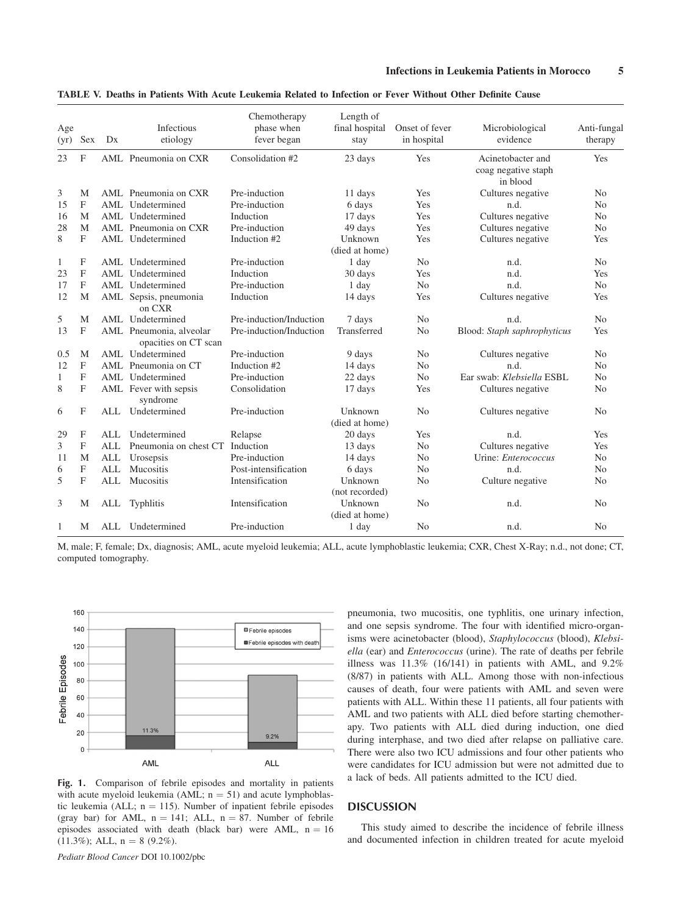| Age<br>(yr)  | Sex          | Dx         | Infectious<br>etiology                          | Chemotherapy<br>phase when<br>fever began | Length of<br>final hospital<br>stay | Onset of fever<br>in hospital | Microbiological<br>evidence                          | Anti-fungal<br>therapy |
|--------------|--------------|------------|-------------------------------------------------|-------------------------------------------|-------------------------------------|-------------------------------|------------------------------------------------------|------------------------|
| 23           | F            |            | AML Pneumonia on CXR                            | Consolidation #2                          | 23 days                             | Yes                           | Acinetobacter and<br>coag negative staph<br>in blood | Yes                    |
| 3            | M            |            | AML Pneumonia on CXR                            | Pre-induction                             | 11 days                             | Yes                           | Cultures negative                                    | No                     |
| 15           | F            |            | AML Undetermined                                | Pre-induction                             | 6 days                              | Yes                           | n.d.                                                 | N <sub>0</sub>         |
| 16           | M            |            | AML Undetermined                                | Induction                                 | 17 days                             | Yes                           | Cultures negative                                    | No                     |
| 28           | M            |            | AML Pneumonia on CXR                            | Pre-induction                             | 49 days                             | Yes                           | Cultures negative                                    | N <sub>0</sub>         |
| 8            | F            |            | AML Undetermined                                | Induction #2                              | Unknown<br>(died at home)           | Yes                           | Cultures negative                                    | Yes                    |
| $\mathbf{1}$ | $\mathbf{F}$ |            | AML Undetermined                                | Pre-induction                             | 1 day                               | N <sub>0</sub>                | n.d.                                                 | No                     |
| 23           | $\mathbf{F}$ |            | AML Undetermined                                | Induction                                 | 30 days                             | Yes                           | n.d.                                                 | Yes                    |
| 17           | F            |            | AML Undetermined                                | Pre-induction                             | 1 day                               | N <sub>0</sub>                | n.d.                                                 | N <sub>0</sub>         |
| 12           | M            |            | AML Sepsis, pneumonia<br>on CXR                 | Induction                                 | 14 days                             | Yes                           | Cultures negative                                    | Yes                    |
| 5            | M            |            | AML Undetermined                                | Pre-induction/Induction                   | 7 days                              | N <sub>0</sub>                | n.d.                                                 | No                     |
| 13           | F            |            | AML Pneumonia, alveolar<br>opacities on CT scan | Pre-induction/Induction                   | Transferred                         | N <sub>0</sub>                | Blood: Staph saphrophyticus                          | Yes                    |
| 0.5          | M            |            | AML Undetermined                                | Pre-induction                             | 9 days                              | N <sub>0</sub>                | Cultures negative                                    | No                     |
| 12           | F            |            | AML Pneumonia on CT                             | Induction #2                              | 14 days                             | N <sub>0</sub>                | n.d.                                                 | N <sub>0</sub>         |
| 1            | F            |            | AML Undetermined                                | Pre-induction                             | 22 days                             | N <sub>0</sub>                | Ear swab: Klebsiella ESBL                            | N <sub>0</sub>         |
| 8            | F            |            | AML Fever with sepsis<br>syndrome               | Consolidation                             | 17 days                             | Yes                           | Cultures negative                                    | N <sub>0</sub>         |
| 6            | F            | ALL        | Undetermined                                    | Pre-induction                             | Unknown<br>(died at home)           | N <sub>0</sub>                | Cultures negative                                    | N <sub>o</sub>         |
| 29           | F            | AI.        | Undetermined                                    | Relapse                                   | 20 days                             | Yes                           | n.d.                                                 | Yes                    |
| 3            | F            | <b>ALL</b> | Pneumonia on chest CT                           | Induction                                 | 13 days                             | N <sub>o</sub>                | Cultures negative                                    | Yes                    |
| 11           | M            | <b>ALL</b> | Urosepsis                                       | Pre-induction                             | 14 days                             | N <sub>0</sub>                | Urine: <i>Enterococcus</i>                           | N <sub>0</sub>         |
| 6            | F            | <b>ALL</b> | <b>Mucositis</b>                                | Post-intensification                      | 6 days                              | N <sub>0</sub>                | n.d.                                                 | N <sub>0</sub>         |
| 5            | F            | <b>ALL</b> | Mucositis                                       | Intensification                           | Unknown<br>(not recorded)           | N <sub>0</sub>                | Culture negative                                     | N <sub>0</sub>         |
| 3            | M            | ALL        | <b>Typhlitis</b>                                | Intensification                           | Unknown<br>(died at home)           | N <sub>0</sub>                | n.d.                                                 | N <sub>0</sub>         |
| 1            | M            |            | ALL Undetermined                                | Pre-induction                             | 1 day                               | N <sub>0</sub>                | n.d.                                                 | N <sub>o</sub>         |

TABLE V. Deaths in Patients With Acute Leukemia Related to Infection or Fever Without Other Definite Cause

M, male; F, female; Dx, diagnosis; AML, acute myeloid leukemia; ALL, acute lymphoblastic leukemia; CXR, Chest X-Ray; n.d., not done; CT, computed tomography.



Fig. 1. Comparison of febrile episodes and mortality in patients with acute myeloid leukemia (AML;  $n = 51$ ) and acute lymphoblastic leukemia (ALL;  $n = 115$ ). Number of inpatient febrile episodes (gray bar) for AML,  $n = 141$ ; ALL,  $n = 87$ . Number of febrile episodes associated with death (black bar) were AML,  $n = 16$  $(11.3\%)$ ; ALL,  $n = 8$  (9.2%).

pneumonia, two mucositis, one typhlitis, one urinary infection, and one sepsis syndrome. The four with identified micro-organisms were acinetobacter (blood), Staphylococcus (blood), Klebsiella (ear) and Enterococcus (urine). The rate of deaths per febrile illness was  $11.3\%$  (16/141) in patients with AML, and  $9.2\%$ (8/87) in patients with ALL. Among those with non-infectious causes of death, four were patients with AML and seven were patients with ALL. Within these 11 patients, all four patients with AML and two patients with ALL died before starting chemotherapy. Two patients with ALL died during induction, one died during interphase, and two died after relapse on palliative care. There were also two ICU admissions and four other patients who were candidates for ICU admission but were not admitted due to a lack of beds. All patients admitted to the ICU died.

# DISCUSSION

This study aimed to describe the incidence of febrile illness and documented infection in children treated for acute myeloid

Pediatr Blood Cancer DOI 10.1002/pbc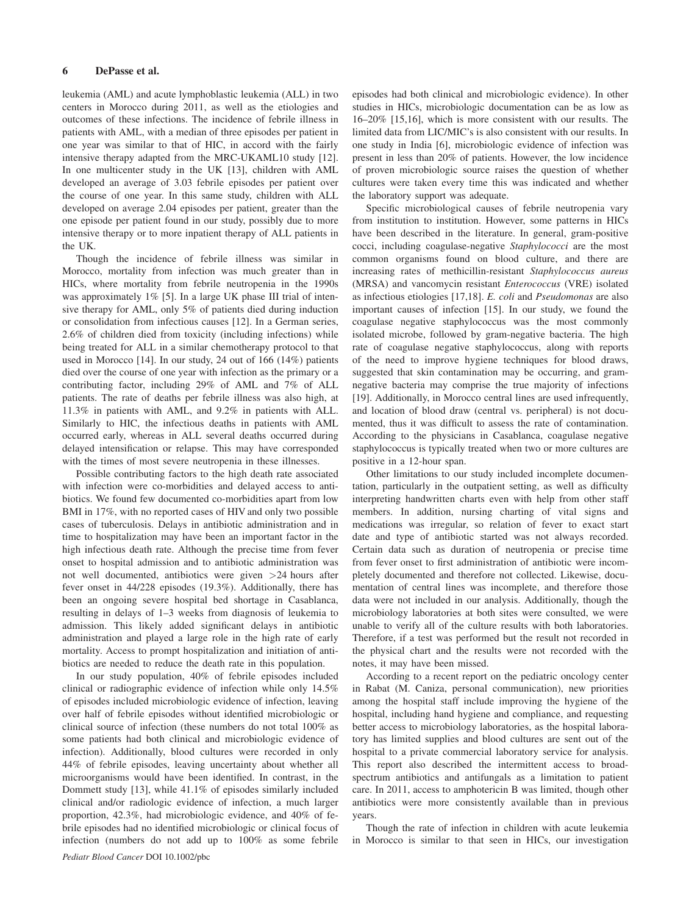#### 6 DePasse et al.

leukemia (AML) and acute lymphoblastic leukemia (ALL) in two centers in Morocco during 2011, as well as the etiologies and outcomes of these infections. The incidence of febrile illness in patients with AML, with a median of three episodes per patient in one year was similar to that of HIC, in accord with the fairly intensive therapy adapted from the MRC-UKAML10 study [12]. In one multicenter study in the UK [13], children with AML developed an average of 3.03 febrile episodes per patient over the course of one year. In this same study, children with ALL developed on average 2.04 episodes per patient, greater than the one episode per patient found in our study, possibly due to more intensive therapy or to more inpatient therapy of ALL patients in the UK.

Though the incidence of febrile illness was similar in Morocco, mortality from infection was much greater than in HICs, where mortality from febrile neutropenia in the 1990s was approximately 1% [5]. In a large UK phase III trial of intensive therapy for AML, only 5% of patients died during induction or consolidation from infectious causes [12]. In a German series, 2.6% of children died from toxicity (including infections) while being treated for ALL in a similar chemotherapy protocol to that used in Morocco [14]. In our study, 24 out of 166 (14%) patients died over the course of one year with infection as the primary or a contributing factor, including 29% of AML and 7% of ALL patients. The rate of deaths per febrile illness was also high, at 11.3% in patients with AML, and 9.2% in patients with ALL. Similarly to HIC, the infectious deaths in patients with AML occurred early, whereas in ALL several deaths occurred during delayed intensification or relapse. This may have corresponded with the times of most severe neutropenia in these illnesses.

Possible contributing factors to the high death rate associated with infection were co-morbidities and delayed access to antibiotics. We found few documented co-morbidities apart from low BMI in 17%, with no reported cases of HIV and only two possible cases of tuberculosis. Delays in antibiotic administration and in time to hospitalization may have been an important factor in the high infectious death rate. Although the precise time from fever onset to hospital admission and to antibiotic administration was not well documented, antibiotics were given >24 hours after fever onset in 44/228 episodes (19.3%). Additionally, there has been an ongoing severe hospital bed shortage in Casablanca, resulting in delays of 1–3 weeks from diagnosis of leukemia to admission. This likely added significant delays in antibiotic administration and played a large role in the high rate of early mortality. Access to prompt hospitalization and initiation of antibiotics are needed to reduce the death rate in this population.

In our study population, 40% of febrile episodes included clinical or radiographic evidence of infection while only 14.5% of episodes included microbiologic evidence of infection, leaving over half of febrile episodes without identified microbiologic or clinical source of infection (these numbers do not total 100% as some patients had both clinical and microbiologic evidence of infection). Additionally, blood cultures were recorded in only 44% of febrile episodes, leaving uncertainty about whether all microorganisms would have been identified. In contrast, in the Dommett study [13], while 41.1% of episodes similarly included clinical and/or radiologic evidence of infection, a much larger proportion, 42.3%, had microbiologic evidence, and 40% of febrile episodes had no identified microbiologic or clinical focus of infection (numbers do not add up to 100% as some febrile Pediatr Blood Cancer DOI 10.1002/pbc

episodes had both clinical and microbiologic evidence). In other studies in HICs, microbiologic documentation can be as low as 16–20% [15,16], which is more consistent with our results. The limited data from LIC/MIC's is also consistent with our results. In one study in India [6], microbiologic evidence of infection was present in less than 20% of patients. However, the low incidence of proven microbiologic source raises the question of whether cultures were taken every time this was indicated and whether the laboratory support was adequate.

Specific microbiological causes of febrile neutropenia vary from institution to institution. However, some patterns in HICs have been described in the literature. In general, gram-positive cocci, including coagulase-negative Staphylococci are the most common organisms found on blood culture, and there are increasing rates of methicillin-resistant Staphylococcus aureus (MRSA) and vancomycin resistant Enterococcus (VRE) isolated as infectious etiologies [17,18]. E. coli and Pseudomonas are also important causes of infection [15]. In our study, we found the coagulase negative staphylococcus was the most commonly isolated microbe, followed by gram-negative bacteria. The high rate of coagulase negative staphylococcus, along with reports of the need to improve hygiene techniques for blood draws, suggested that skin contamination may be occurring, and gramnegative bacteria may comprise the true majority of infections [19]. Additionally, in Morocco central lines are used infrequently, and location of blood draw (central vs. peripheral) is not documented, thus it was difficult to assess the rate of contamination. According to the physicians in Casablanca, coagulase negative staphylococcus is typically treated when two or more cultures are positive in a 12-hour span.

Other limitations to our study included incomplete documentation, particularly in the outpatient setting, as well as difficulty interpreting handwritten charts even with help from other staff members. In addition, nursing charting of vital signs and medications was irregular, so relation of fever to exact start date and type of antibiotic started was not always recorded. Certain data such as duration of neutropenia or precise time from fever onset to first administration of antibiotic were incompletely documented and therefore not collected. Likewise, documentation of central lines was incomplete, and therefore those data were not included in our analysis. Additionally, though the microbiology laboratories at both sites were consulted, we were unable to verify all of the culture results with both laboratories. Therefore, if a test was performed but the result not recorded in the physical chart and the results were not recorded with the notes, it may have been missed.

According to a recent report on the pediatric oncology center in Rabat (M. Caniza, personal communication), new priorities among the hospital staff include improving the hygiene of the hospital, including hand hygiene and compliance, and requesting better access to microbiology laboratories, as the hospital laboratory has limited supplies and blood cultures are sent out of the hospital to a private commercial laboratory service for analysis. This report also described the intermittent access to broadspectrum antibiotics and antifungals as a limitation to patient care. In 2011, access to amphotericin B was limited, though other antibiotics were more consistently available than in previous years.

Though the rate of infection in children with acute leukemia in Morocco is similar to that seen in HICs, our investigation